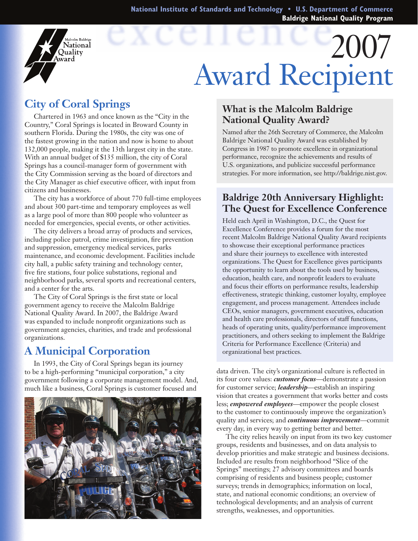**National Institute of Standards and Technology • U.S. Department of Commerce Baldrige National Quality Program**

# 2007 Award Recipient

# **City of Coral Springs**

alcolm Baldrige **National** Ouality ward

Chartered in 1963 and once known as the "City in the Country," Coral Springs is located in Broward County in southern Florida. During the 1980s, the city was one of the fastest growing in the nation and now is home to about 132,000 people, making it the 13th largest city in the state. With an annual budget of \$135 million, the city of Coral Springs has a council-manager form of government with the City Commission serving as the board of directors and the City Manager as chief executive officer, with input from citizens and businesses.

The city has a workforce of about 770 full-time employees and about 300 part-time and temporary employees as well as a large pool of more than 800 people who volunteer as needed for emergencies, special events, or other activities.

The city delivers a broad array of products and services, including police patrol, crime investigation, fire prevention and suppression, emergency medical services, parks maintenance, and economic development. Facilities include city hall, a public safety training and technology center, five fire stations, four police substations, regional and neighborhood parks, several sports and recreational centers, and a center for the arts.

The City of Coral Springs is the first state or local government agency to receive the Malcolm Baldrige National Quality Award. In 2007, the Baldrige Award was expanded to include nonprofit organizations such as government agencies, charities, and trade and professional organizations.

## **A Municipal Corporation**

In 1993, the City of Coral Springs began its journey to be a high-performing "municipal corporation," a city government following a corporate management model. And, much like a business, Coral Springs is customer focused and



#### **What is the Malcolm Baldrige National Quality Award?**

Named after the 26th Secretary of Commerce, the Malcolm Baldrige National Quality Award was established by Congress in 1987 to promote excellence in organizational performance, recognize the achievements and results of U.S. organizations, and publicize successful performance strategies. For more information, see http://baldrige.nist.gov.

#### **Baldrige 20th Anniversary Highlight: The Quest for Excellence Conference**

Held each April in Washington, D.C., the Quest for Excellence Conference provides a forum for the most recent Malcolm Baldrige National Quality Award recipients to showcase their exceptional performance practices and share their journeys to excellence with interested organizations. The Quest for Excellence gives participants the opportunity to learn about the tools used by business, education, health care, and nonprofit leaders to evaluate and focus their efforts on performance results, leadership effectiveness, strategic thinking, customer loyalty, employee engagement, and process management. Attendees include CEOs, senior managers, government executives, education and health care professionals, directors of staff functions, heads of operating units, quality/performance improvement practitioners, and others seeking to implement the Baldrige Criteria for Performance Excellence (Criteria) and organizational best practices.

data driven. The city's organizational culture is reflected in its four core values: *customer focus*—demonstrate a passion for customer service; *leadership*—establish an inspiring vision that creates a government that works better and costs less; *empowered employees*—empower the people closest to the customer to continuously improve the organization's quality and services; and *continuous improvement*—commit every day, in every way to getting better and better.

The city relies heavily on input from its two key customer groups, residents and businesses, and on data analysis to develop priorities and make strategic and business decisions. Included are results from neighborhood "Slice of the Springs" meetings; 27 advisory committees and boards comprising of residents and business people; customer surveys; trends in demographics; information on local, state, and national economic conditions; an overview of technological developments; and an analysis of current strengths, weaknesses, and opportunities.